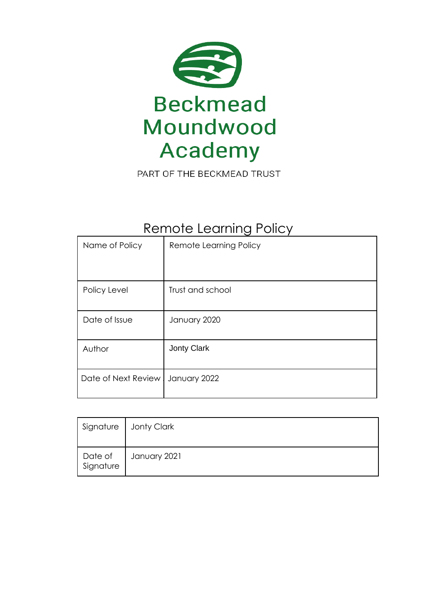

# Remote Learning Policy

| Name of Policy      | Remote Learning Policy |
|---------------------|------------------------|
|                     |                        |
| Policy Level        | Trust and school       |
| Date of Issue       | January 2020           |
| Author              | <b>Jonty Clark</b>     |
| Date of Next Review | January 2022           |

| Signature            | Jonty Clark  |
|----------------------|--------------|
| Date of<br>Signature | January 2021 |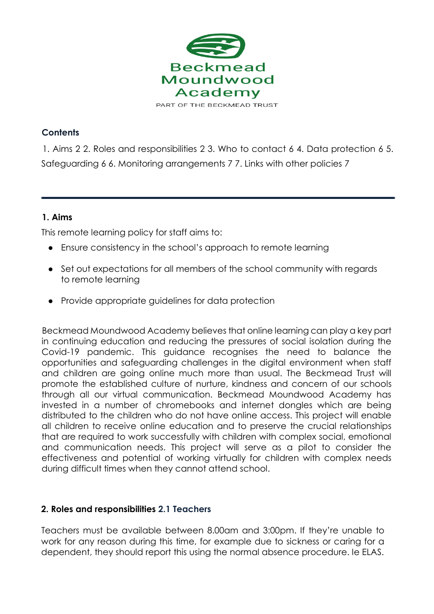

## **Contents**

1. Aims 2 2. Roles and responsibilities 2 3. Who to contact 6 4. Data protection 6 5. Safeguarding 6 6. Monitoring arrangements 7 7. Links with other policies 7

## **1. Aims**

This remote learning policy for staff aims to:

- Ensure consistency in the school's approach to remote learning
- Set out expectations for all members of the school community with regards to remote learning
- Provide appropriate guidelines for data protection

Beckmead Moundwood Academy believes that online learning can play a key part in continuing education and reducing the pressures of social isolation during the Covid-19 pandemic. This guidance recognises the need to balance the opportunities and safeguarding challenges in the digital environment when staff and children are going online much more than usual. The Beckmead Trust will promote the established culture of nurture, kindness and concern of our schools through all our virtual communication. Beckmead Moundwood Academy has invested in a number of chromebooks and internet dongles which are being distributed to the children who do not have online access. This project will enable all children to receive online education and to preserve the crucial relationships that are required to work successfully with children with complex social, emotional and communication needs. This project will serve as a pilot to consider the effectiveness and potential of working virtually for children with complex needs during difficult times when they cannot attend school.

#### **2. Roles and responsibilities 2.1 Teachers**

Teachers must be available between 8.00am and 3:00pm. If they're unable to work for any reason during this time, for example due to sickness or caring for a dependent, they should report this using the normal absence procedure. Ie ELAS.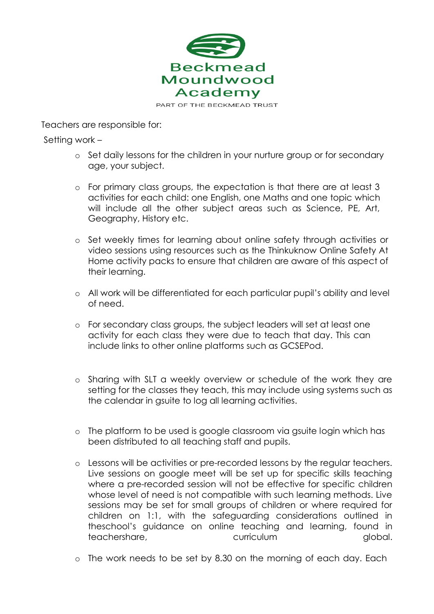

Teachers are responsible for:

Setting work –

- o Set daily lessons for the children in your nurture group or for secondary age, your subject.
- o For primary class groups, the expectation is that there are at least 3 activities for each child: one English, one Maths and one topic which will include all the other subject areas such as Science, PE, Art, Geography, History etc.
- o Set weekly times for learning about online safety through activities or video sessions using resources such as the Thinkuknow Online Safety At Home activity packs to ensure that children are aware of this aspect of their learning.
- o All work will be differentiated for each particular pupil's ability and level of need.
- o For secondary class groups, the subject leaders will set at least one activity for each class they were due to teach that day. This can include links to other online platforms such as GCSEPod.
- o Sharing with SLT a weekly overview or schedule of the work they are setting for the classes they teach, this may include using systems such as the calendar in gsuite to log all learning activities.
- o The platform to be used is google classroom via gsuite login which has been distributed to all teaching staff and pupils.
- o Lessons will be activities or pre-recorded lessons by the regular teachers. Live sessions on google meet will be set up for specific skills teaching where a pre-recorded session will not be effective for specific children whose level of need is not compatible with such learning methods. Live sessions may be set for small groups of children or where required for children on 1:1, with the safeguarding considerations outlined in theschool's guidance on online teaching and learning, found in teachershare, curriculum curriculum global.
- o The work needs to be set by 8.30 on the morning of each day. Each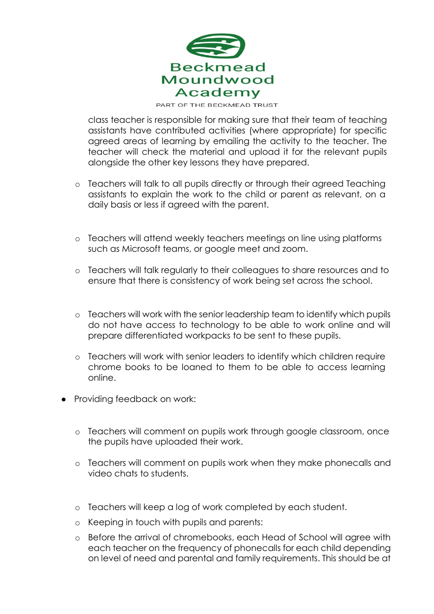

class teacher is responsible for making sure that their team of teaching assistants have contributed activities (where appropriate) for specific agreed areas of learning by emailing the activity to the teacher. The teacher will check the material and upload it for the relevant pupils alongside the other key lessons they have prepared.

- o Teachers will talk to all pupils directly or through their agreed Teaching assistants to explain the work to the child or parent as relevant, on a daily basis or less if agreed with the parent.
- o Teachers will attend weekly teachers meetings on line using platforms such as Microsoft teams, or google meet and zoom.
- o Teachers will talk regularly to their colleagues to share resources and to ensure that there is consistency of work being set across the school.
- o Teachers will work with the senior leadership team to identify which pupils do not have access to technology to be able to work online and will prepare differentiated workpacks to be sent to these pupils.
- o Teachers will work with senior leaders to identify which children require chrome books to be loaned to them to be able to access learning online.
- Providing feedback on work:
	- o Teachers will comment on pupils work through google classroom, once the pupils have uploaded their work.
	- o Teachers will comment on pupils work when they make phonecalls and video chats to students.
	- o Teachers will keep a log of work completed by each student.
	- o Keeping in touch with pupils and parents:
	- o Before the arrival of chromebooks, each Head of School will agree with each teacher on the frequency of phonecalls for each child depending on level of need and parental and family requirements. This should be at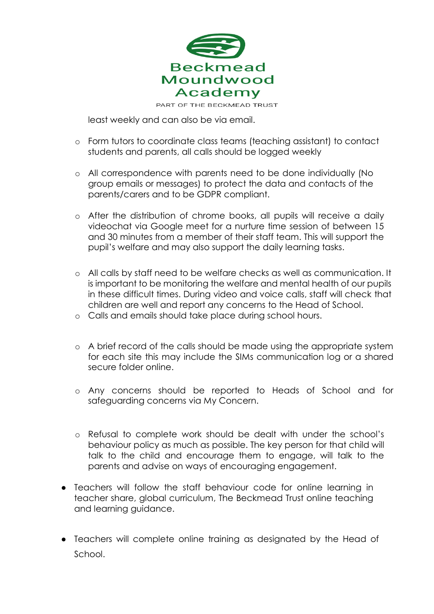

least weekly and can also be via email.

- o Form tutors to coordinate class teams (teaching assistant) to contact students and parents, all calls should be logged weekly
- o All correspondence with parents need to be done individually (No group emails or messages) to protect the data and contacts of the parents/carers and to be GDPR compliant.
- o After the distribution of chrome books, all pupils will receive a daily videochat via Google meet for a nurture time session of between 15 and 30 minutes from a member of their staff team. This will support the pupil's welfare and may also support the daily learning tasks.
- o All calls by staff need to be welfare checks as well as communication. It is important to be monitoring the welfare and mental health of our pupils in these difficult times. During video and voice calls, staff will check that children are well and report any concerns to the Head of School.
- o Calls and emails should take place during school hours.
- o A brief record of the calls should be made using the appropriate system for each site this may include the SIMs communication log or a shared secure folder online.
- o Any concerns should be reported to Heads of School and for safeguarding concerns via My Concern.
- o Refusal to complete work should be dealt with under the school's behaviour policy as much as possible. The key person for that child will talk to the child and encourage them to engage, will talk to the parents and advise on ways of encouraging engagement.
- Teachers will follow the staff behaviour code for online learning in teacher share, global curriculum, The Beckmead Trust online teaching and learning guidance.
- Teachers will complete online training as designated by the Head of School.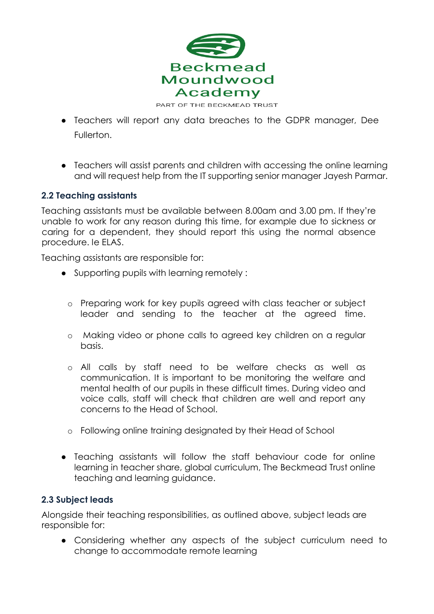

- Teachers will report any data breaches to the GDPR manager, Dee Fullerton.
- Teachers will assist parents and children with accessing the online learning and will request help from the IT supporting senior manager Jayesh Parmar.

## **2.2 Teaching assistants**

Teaching assistants must be available between 8.00am and 3.00 pm. If they're unable to work for any reason during this time, for example due to sickness or caring for a dependent, they should report this using the normal absence procedure. Ie ELAS.

Teaching assistants are responsible for:

- Supporting pupils with learning remotely :
	- o Preparing work for key pupils agreed with class teacher or subject leader and sending to the teacher at the agreed time.
	- o Making video or phone calls to agreed key children on a regular basis.
	- o All calls by staff need to be welfare checks as well as communication. It is important to be monitoring the welfare and mental health of our pupils in these difficult times. During video and voice calls, staff will check that children are well and report any concerns to the Head of School.
	- o Following online training designated by their Head of School
- Teaching assistants will follow the staff behaviour code for online learning in teacher share, global curriculum, The Beckmead Trust online teaching and learning guidance.

#### **2.3 Subject leads**

Alongside their teaching responsibilities, as outlined above, subject leads are responsible for:

● Considering whether any aspects of the subject curriculum need to change to accommodate remote learning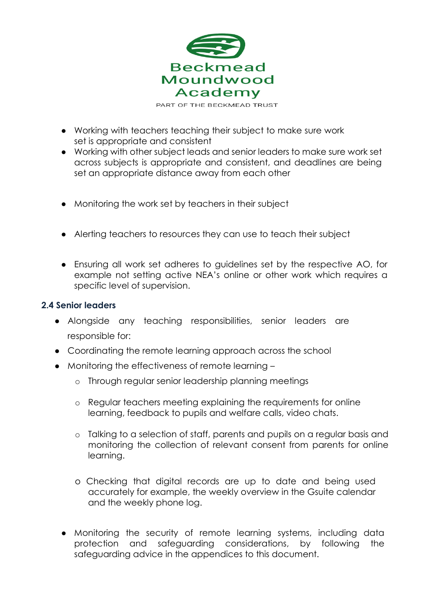

● Working with teachers teaching their subject to make sure work

- set is appropriate and consistent ● Working with other subject leads and senior leaders to make sure work set across subjects is appropriate and consistent, and deadlines are being set an appropriate distance away from each other
- Monitoring the work set by teachers in their subject
- Alerting teachers to resources they can use to teach their subject
- Ensuring all work set adheres to guidelines set by the respective AO, for example not setting active NEA's online or other work which requires a specific level of supervision.

#### **2.4 Senior leaders**

- Alongside any teaching responsibilities, senior leaders are responsible for:
- Coordinating the remote learning approach across the school
- Monitoring the effectiveness of remote learning
	- o Through regular senior leadership planning meetings
	- o Regular teachers meeting explaining the requirements for online learning, feedback to pupils and welfare calls, video chats.
	- o Talking to a selection of staff, parents and pupils on a regular basis and monitoring the collection of relevant consent from parents for online learning.
	- o Checking that digital records are up to date and being used accurately for example, the weekly overview in the Gsuite calendar and the weekly phone log.
	- Monitoring the security of remote learning systems, including data protection and safeguarding considerations, by following the safeguarding advice in the appendices to this document.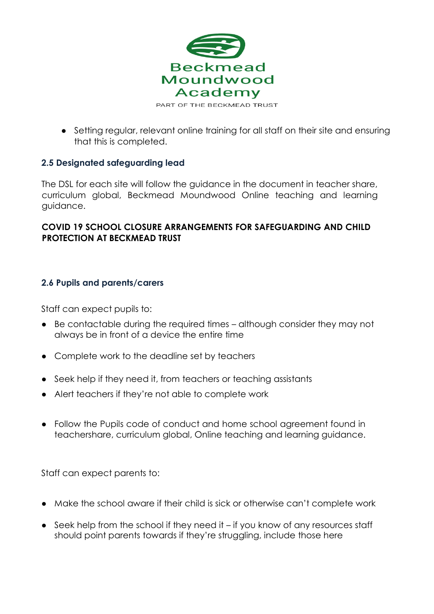

● Setting regular, relevant online training for all staff on their site and ensuring that this is completed.

# **2.5 Designated safeguarding lead**

The DSL for each site will follow the guidance in the document in teacher share, curriculum global, Beckmead Moundwood Online teaching and learning guidance.

# **COVID 19 SCHOOL CLOSURE ARRANGEMENTS FOR SAFEGUARDING AND CHILD PROTECTION AT BECKMEAD TRUST**

# **2.6 Pupils and parents/carers**

Staff can expect pupils to:

- Be contactable during the required times although consider they may not always be in front of a device the entire time
- Complete work to the deadline set by teachers
- Seek help if they need it, from teachers or teaching assistants
- Alert teachers if they're not able to complete work
- Follow the Pupils code of conduct and home school agreement found in teachershare, curriculum global, Online teaching and learning guidance.

Staff can expect parents to:

- Make the school aware if their child is sick or otherwise can't complete work
- Seek help from the school if they need it if you know of any resources staff should point parents towards if they're struggling, include those here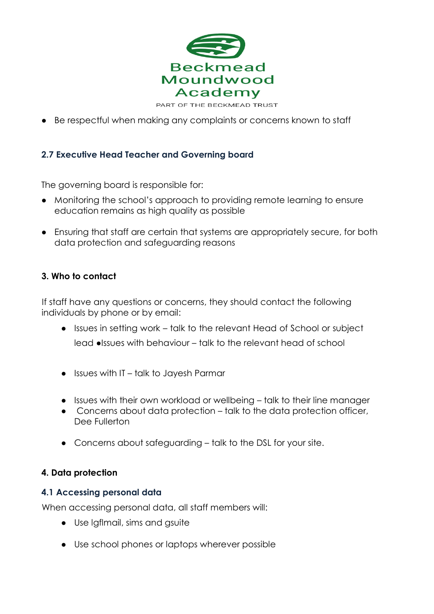

● Be respectful when making any complaints or concerns known to staff

## **2.7 Executive Head Teacher and Governing board**

The governing board is responsible for:

- Monitoring the school's approach to providing remote learning to ensure education remains as high quality as possible
- Ensuring that staff are certain that systems are appropriately secure, for both data protection and safeguarding reasons

#### **3. Who to contact**

If staff have any questions or concerns, they should contact the following individuals by phone or by email:

- Issues in setting work talk to the relevant Head of School or subject lead ●Issues with behaviour – talk to the relevant head of school
- Issues with IT talk to Jayesh Parmar
- Issues with their own workload or wellbeing talk to their line manager
- Concerns about data protection talk to the data protection officer, Dee Fullerton
- Concerns about safeguarding talk to the DSL for your site.

#### **4. Data protection**

#### **4.1 Accessing personal data**

When accessing personal data, all staff members will:

- Use lgflmail, sims and gsuite
- Use school phones or laptops wherever possible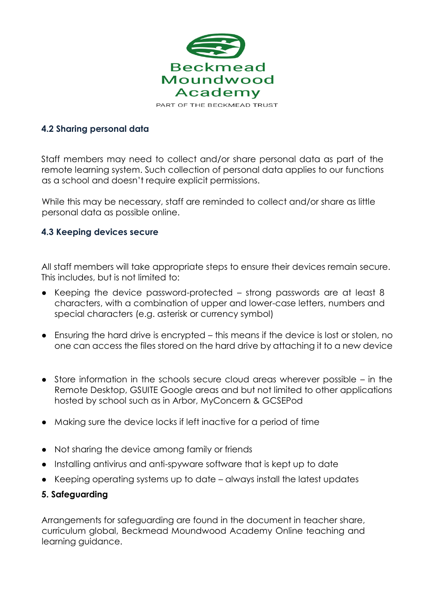

#### **4.2 Sharing personal data**

Staff members may need to collect and/or share personal data as part of the remote learning system. Such collection of personal data applies to our functions as a school and doesn't require explicit permissions.

While this may be necessary, staff are reminded to collect and/or share as little personal data as possible online.

#### **4.3 Keeping devices secure**

All staff members will take appropriate steps to ensure their devices remain secure. This includes, but is not limited to:

- Keeping the device password-protected strong passwords are at least 8 characters, with a combination of upper and lower-case letters, numbers and special characters (e.g. asterisk or currency symbol)
- Ensuring the hard drive is encrypted this means if the device is lost or stolen, no one can access the files stored on the hard drive by attaching it to a new device
- Store information in the schools secure cloud areas wherever possible in the Remote Desktop, GSUITE Google areas and but not limited to other applications hosted by school such as in Arbor, MyConcern & GCSEPod
- Making sure the device locks if left inactive for a period of time
- Not sharing the device among family or friends
- Installing antivirus and anti-spyware software that is kept up to date
- Keeping operating systems up to date always install the latest updates

#### **5. Safeguarding**

Arrangements for safeguarding are found in the document in teacher share, curriculum global, Beckmead Moundwood Academy Online teaching and learning guidance.